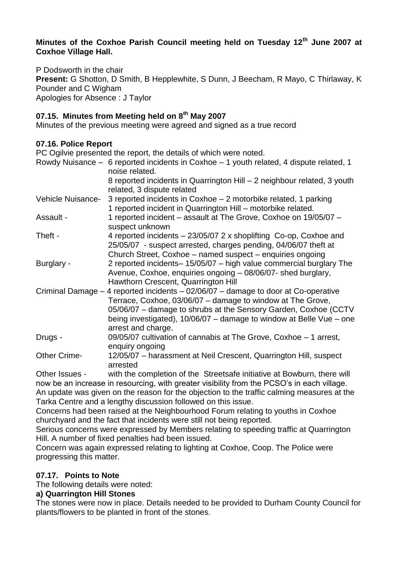#### **Minutes of the Coxhoe Parish Council meeting held on Tuesday 12th June 2007 at Coxhoe Village Hall.**

P Dodsworth in the chair **Present:** G Shotton, D Smith, B Hepplewhite, S Dunn, J Beecham, R Mayo, C Thirlaway, K Pounder and C Wigham Apologies for Absence : J Taylor

# **07.15. Minutes from Meeting held on 8th May 2007**

Minutes of the previous meeting were agreed and signed as a true record

## **07.16. Police Report**

PC Ogilvie presented the report, the details of which were noted.

|                     | Rowdy Nuisance - 6 reported incidents in Coxhoe - 1 youth related, 4 dispute related, 1<br>noise related.                                                                                                                                                                                                          |
|---------------------|--------------------------------------------------------------------------------------------------------------------------------------------------------------------------------------------------------------------------------------------------------------------------------------------------------------------|
|                     | 8 reported incidents in Quarrington Hill - 2 neighbour related, 3 youth<br>related, 3 dispute related                                                                                                                                                                                                              |
| Vehicle Nuisance-   | 3 reported incidents in Coxhoe – 2 motorbike related, 1 parking<br>1 reported incident in Quarrington Hill - motorbike related.                                                                                                                                                                                    |
| Assault -           | 1 reported incident - assault at The Grove, Coxhoe on 19/05/07 -<br>suspect unknown                                                                                                                                                                                                                                |
| Theft -             | 4 reported incidents – 23/05/07 2 x shoplifting Co-op, Coxhoe and<br>25/05/07 - suspect arrested, charges pending, 04/06/07 theft at<br>Church Street, Coxhoe - named suspect - enquiries ongoing                                                                                                                  |
| Burglary -          | 2 reported incidents-15/05/07 - high value commercial burglary The<br>Avenue, Coxhoe, enquiries ongoing - 08/06/07- shed burglary,<br>Hawthorn Crescent, Quarrington Hill                                                                                                                                          |
|                     | Criminal Damage - 4 reported incidents - 02/06/07 - damage to door at Co-operative<br>Terrace, Coxhoe, 03/06/07 – damage to window at The Grove,<br>05/06/07 - damage to shrubs at the Sensory Garden, Coxhoe (CCTV<br>being investigated), $10/06/07 -$ damage to window at Belle Vue – one<br>arrest and charge. |
| Drugs -             | 09/05/07 cultivation of cannabis at The Grove, Coxhoe - 1 arrest,<br>enquiry ongoing                                                                                                                                                                                                                               |
| <b>Other Crime-</b> | 12/05/07 - harassment at Neil Crescent, Quarrington Hill, suspect<br>arrested                                                                                                                                                                                                                                      |
| Other Issues -      | with the completion of the Streetsafe initiative at Bowburn, there will                                                                                                                                                                                                                                            |
|                     | now be an increase in resourcing, with greater visibility from the PCSO's in each village.<br>An update was given on the reason for the objection to the traffic calming measures at the                                                                                                                           |

Tarka Centre and a lengthy discussion followed on this issue.

Concerns had been raised at the Neighbourhood Forum relating to youths in Coxhoe churchyard and the fact that incidents were still not being reported.

Serious concerns were expressed by Members relating to speeding traffic at Quarrington Hill. A number of fixed penalties had been issued.

Concern was again expressed relating to lighting at Coxhoe, Coop. The Police were progressing this matter.

## **07.17. Points to Note**

The following details were noted:

#### **a) Quarrington Hill Stones**

The stones were now in place. Details needed to be provided to Durham County Council for plants/flowers to be planted in front of the stones.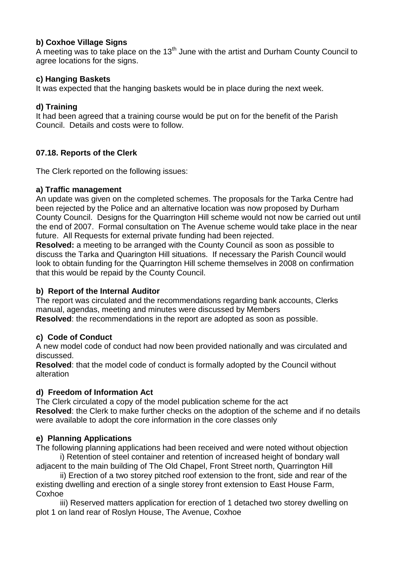## **b) Coxhoe Village Signs**

A meeting was to take place on the  $13<sup>th</sup>$  June with the artist and Durham County Council to agree locations for the signs.

## **c) Hanging Baskets**

It was expected that the hanging baskets would be in place during the next week.

## **d) Training**

It had been agreed that a training course would be put on for the benefit of the Parish Council. Details and costs were to follow.

## **07.18. Reports of the Clerk**

The Clerk reported on the following issues:

## **a) Traffic management**

An update was given on the completed schemes. The proposals for the Tarka Centre had been rejected by the Police and an alternative location was now proposed by Durham County Council. Designs for the Quarrington Hill scheme would not now be carried out until the end of 2007. Formal consultation on The Avenue scheme would take place in the near future. All Requests for external private funding had been rejected.

**Resolved:** a meeting to be arranged with the County Council as soon as possible to discuss the Tarka and Quarington Hill situations. If necessary the Parish Council would look to obtain funding for the Quarrington Hill scheme themselves in 2008 on confirmation that this would be repaid by the County Council.

## **b) Report of the Internal Auditor**

The report was circulated and the recommendations regarding bank accounts, Clerks manual, agendas, meeting and minutes were discussed by Members **Resolved**: the recommendations in the report are adopted as soon as possible.

## **c) Code of Conduct**

A new model code of conduct had now been provided nationally and was circulated and discussed.

**Resolved**: that the model code of conduct is formally adopted by the Council without alteration

## **d) Freedom of Information Act**

The Clerk circulated a copy of the model publication scheme for the act **Resolved**: the Clerk to make further checks on the adoption of the scheme and if no details were available to adopt the core information in the core classes only

## **e) Planning Applications**

The following planning applications had been received and were noted without objection i) Retention of steel container and retention of increased height of bondary wall

adjacent to the main building of The Old Chapel, Front Street north, Quarrington Hill ii) Erection of a two storey pitched roof extension to the front, side and rear of the

existing dwelling and erection of a single storey front extension to East House Farm, Coxhoe

iii) Reserved matters application for erection of 1 detached two storey dwelling on plot 1 on land rear of Roslyn House, The Avenue, Coxhoe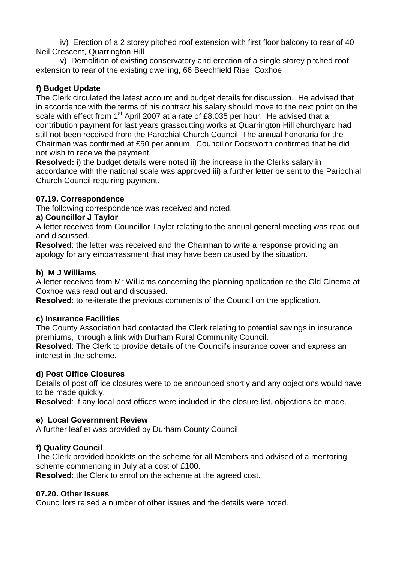iv) Erection of a 2 storey pitched roof extension with first floor balcony to rear of 40 Neil Crescent, Quarrington Hill

v) Demolition of existing conservatory and erection of a single storey pitched roof extension to rear of the existing dwelling, 66 Beechfield Rise, Coxhoe

## **f) Budget Update**

The Clerk circulated the latest account and budget details for discussion. He advised that in accordance with the terms of his contract his salary should move to the next point on the scale with effect from 1<sup>st</sup> April 2007 at a rate of £8.035 per hour. He advised that a contribution payment for last years grasscutting works at Quarrington Hill churchyard had still not been received from the Parochial Church Council. The annual honoraria for the Chairman was confirmed at £50 per annum. Councillor Dodsworth confirmed that he did not wish to receive the payment.

**Resolved:** i) the budget details were noted ii) the increase in the Clerks salary in accordance with the national scale was approved iii) a further letter be sent to the Pariochial Church Council requiring payment.

## **07.19. Correspondence**

The following correspondence was received and noted.

## **a) Councillor J Taylor**

A letter received from Councillor Taylor relating to the annual general meeting was read out and discussed.

**Resolved**: the letter was received and the Chairman to write a response providing an apology for any embarrassment that may have been caused by the situation.

## **b) M J Williams**

A letter received from Mr Williams concerning the planning application re the Old Cinema at Coxhoe was read out and discussed.

**Resolved**: to re-iterate the previous comments of the Council on the application.

## **c) Insurance Facilities**

The County Association had contacted the Clerk relating to potential savings in insurance premiums, through a link with Durham Rural Community Council.

**Resolved**: The Clerk to provide details of the Council's insurance cover and express an interest in the scheme.

## **d) Post Office Closures**

Details of post off ice closures were to be announced shortly and any objections would have to be made quickly.

**Resolved**: if any local post offices were included in the closure list, objections be made.

## **e) Local Government Review**

A further leaflet was provided by Durham County Council.

## **f) Quality Council**

The Clerk provided booklets on the scheme for all Members and advised of a mentoring scheme commencing in July at a cost of £100.

**Resolved**: the Clerk to enrol on the scheme at the agreed cost.

## **07.20. Other Issues**

Councillors raised a number of other issues and the details were noted.